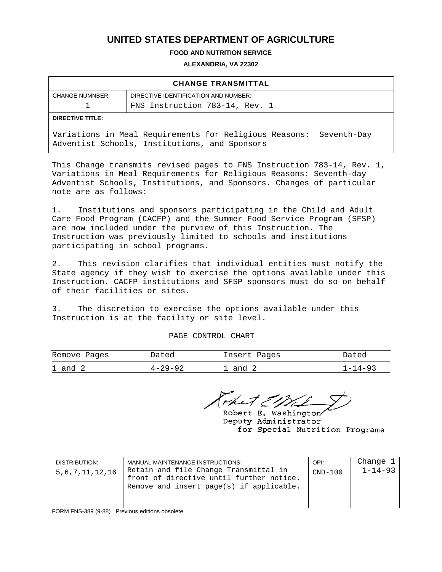## **UNITED STATES DEPARTMENT OF AGRICULTURE**

**FOOD AND NUTRITION SERVICE** 

**ALEXANDRIA, VA 22302** 

| <b>CHANGE TRANSMITTAL</b>      |                                                                                                                        |  |  |  |  |  |
|--------------------------------|------------------------------------------------------------------------------------------------------------------------|--|--|--|--|--|
| <b>CHANGE NUMNBER:</b>         | DIRECTIVE IDENTIFICATION AND NUMBER:                                                                                   |  |  |  |  |  |
| FNS Instruction 783-14, Rev. 1 |                                                                                                                        |  |  |  |  |  |
| <b>DIRECTIVE TITLE:</b>        |                                                                                                                        |  |  |  |  |  |
|                                | Variations in Meal Requirements for Religious Reasons:<br>Seventh-Day<br>Adventist Schools, Institutions, and Sponsors |  |  |  |  |  |

This Change transmits revised pages to FNS Instruction 783-14, Rev. 1, Variations in Meal Requirements for Religious Reasons: Seventh-day Adventist Schools, Institutions, and Sponsors. Changes of particular note are as follows:

1. Institutions and sponsors participating in the Child and Adult Care Food Program (CACFP) and the Summer Food Service Program (SFSP) are now included under the purview of this Instruction. The Instruction was previously limited to schools and institutions participating in school programs.

2. This revision clarifies that individual entities must notify the State agency if they wish to exercise the options available under this Instruction. CACFP institutions and SFSP sponsors must do so on behalf of their facilities or sites.

3. The discretion to exercise the options available under this Instruction is at the facility or site level.

PAGE CONTROL CHART

| Remove Pages | Dated         | Insert Pages | Dated   |
|--------------|---------------|--------------|---------|
| $1$ and $2$  | $4 - 29 - 92$ | and 2        | 1–14–93 |

Robert E. Washington Deputy Administrator for Special Nutrition Programs

| DISTRIBUTION:<br>5, 6, 7, 11, 12, 16 | MANUAL MAINTENANCE INSTRUCTIONS:<br>Retain and file Change Transmittal in<br>front of directive until further notice.<br>Remove and insert page(s) if applicable. | OPI:<br>$CND-100$ | Change 1<br>$1 - 14 - 93$ |
|--------------------------------------|-------------------------------------------------------------------------------------------------------------------------------------------------------------------|-------------------|---------------------------|
|--------------------------------------|-------------------------------------------------------------------------------------------------------------------------------------------------------------------|-------------------|---------------------------|

FORM FNS-389 (9-88) Previous editions obsolete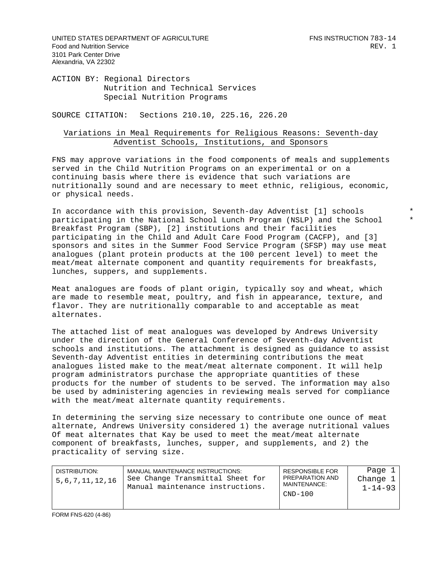UNITED STATES DEPARTMENT OF AGRICULTURE FINS INSTRUCTION 783-14 Food and Nutrition Service **REV.** 1 3101 Park Center Drive Alexandria, VA 22302

ACTION BY: Regional Directors Nutrition and Technical Services Special Nutrition Programs

SOURCE CITATION: Sections 210.10, 225.16, 226.20

#### Variations in Meal Requirements for Religious Reasons: Seventh-day Adventist Schools, Institutions, and Sponsors

FNS may approve variations in the food components of meals and supplements served in the Child Nutrition Programs on an experimental or on a continuing basis where there is evidence that such variations are nutritionally sound and are necessary to meet ethnic, religious, economic, or physical needs.

In accordance with this provision, Seventh-day Adventist [1] schools \* participating in the National School Lunch Program (NSLP) and the School \* Breakfast Program (SBP), [2] institutions and their facilities participating in the Child and Adult Care Food Program (CACFP), and [3] sponsors and sites in the Summer Food Service Program (SFSP) may use meat analogues (plant protein products at the 100 percent level) to meet the meat/meat alternate component and quantity requirements for breakfasts, lunches, suppers, and supplements.

Meat analogues are foods of plant origin, typically soy and wheat, which are made to resemble meat, poultry, and fish in appearance, texture, and flavor. They are nutritionally comparable to and acceptable as meat alternates.

The attached list of meat analogues was developed by Andrews University under the direction of the General Conference of Seventh-day Adventist schools and institutions. The attachment is designed as guidance to assist Seventh-day Adventist entities in determining contributions the meat analogues listed make to the meat/meat alternate component. It will help program administrators purchase the appropriate quantities of these products for the number of students to be served. The information may also be used by administering agencies in reviewing meals served for compliance with the meat/meat alternate quantity requirements.

In determining the serving size necessary to contribute one ounce of meat alternate, Andrews University considered 1) the average nutritional values Of meat alternates that Kay be used to meet the meat/meat alternate component of breakfasts, lunches, supper, and supplements, and 2) the practicality of serving size.

| DISTRIBUTION:<br>5,6,7,11,12,16 | MANUAL MAINTENANCE INSTRUCTIONS:<br>See Change Transmittal Sheet for<br>Manual maintenance instructions. | <b>RESPONSIBLE FOR</b><br>PREPARATION AND<br>MAINTENANCE:<br>$CND-100$ | Page 1<br>Change 1<br>$1 - 14 - 93$ |
|---------------------------------|----------------------------------------------------------------------------------------------------------|------------------------------------------------------------------------|-------------------------------------|
|---------------------------------|----------------------------------------------------------------------------------------------------------|------------------------------------------------------------------------|-------------------------------------|

FORM FNS-620 (4-86)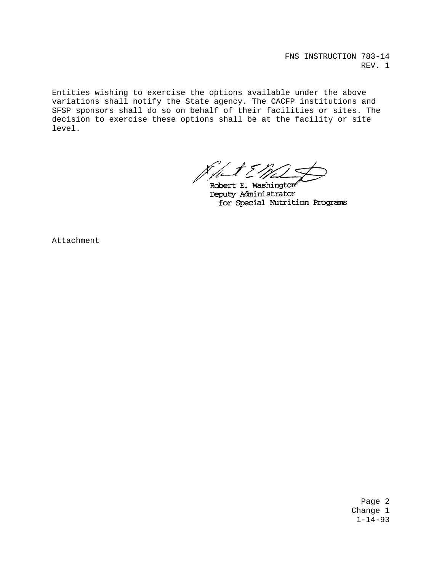FNS INSTRUCTION 783-14 REV. 1

Entities wishing to exercise the options available under the above variations shall notify the State agency. The CACFP institutions and SFSP sponsors shall do so on behalf of their facilities or sites. The decision to exercise these options shall be at the facility or site level.

Robert E. Washington Deputy Administrator for Special Nutrition Programs

Attachment

Page 2 Change 1 1-14-93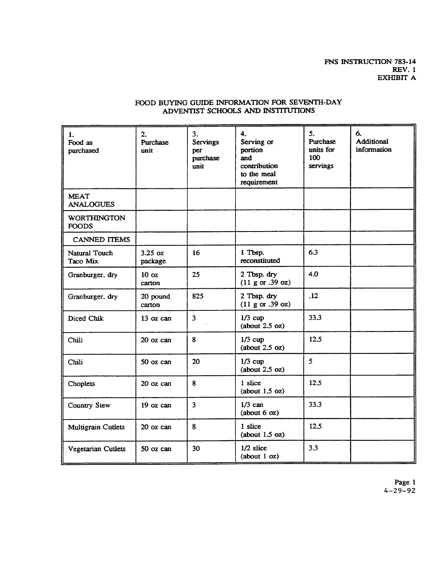### FOOD BUYING GUIDE INFORMATION FOR SEVENTH-DAY ADVENTIST SCHOOLS AND INSTITUTIONS

| 1.<br>Food as<br>purchased         | 2.<br>Purchase<br>unit     | 3.<br><b>Servings</b><br>per<br>purchase<br>unit | 4.<br>Serving or<br>portion<br>and<br>contribution<br>to the meal<br>requirement | 5.<br>Purchase<br>units for<br>100<br>servings | 6.<br>Additional<br>information |
|------------------------------------|----------------------------|--------------------------------------------------|----------------------------------------------------------------------------------|------------------------------------------------|---------------------------------|
| <b>MEAT</b><br><b>ANALOGUES</b>    |                            |                                                  |                                                                                  |                                                |                                 |
| <b>WORTHINGTON</b><br><b>FOODS</b> |                            |                                                  |                                                                                  |                                                |                                 |
| <b>CANNED ITEMS</b>                |                            |                                                  |                                                                                  |                                                |                                 |
| Natural Touch<br>Taco Mix          | $3.25$ oz<br>package       | 16                                               | 1 Tbsp.<br>reconstituted                                                         | 6.3                                            |                                 |
| Granburger, dry                    | 10 <sub>oz</sub><br>carton | 25                                               | 2 Tbsp. dry<br>(11 g or .39 oz)                                                  | 4.0                                            |                                 |
| Granburger, dry                    | 20 pound<br>carton         | 825                                              | 2 Tbsp. dry<br>(11 g or .39 oz)                                                  | .12                                            |                                 |
| Diced Chik                         | 13 oz can                  | $\overline{\mathbf{3}}$                          | $1/3$ cup<br>(about 2.5 oz)                                                      | 33.3                                           |                                 |
| Chili                              | 20 oz can                  | 8                                                | $1/3$ cup<br>(about 2.5 oz)                                                      | 12.5                                           |                                 |
| Chili                              | 50 oz can                  | 20                                               | $1/3$ cup<br>(about 2.5 oz)                                                      | 5                                              |                                 |
| Choplets                           | 20 oz can                  | 8                                                | 1 slice<br>(about 1.5 oz)                                                        | 12.5                                           |                                 |
| Country Stew                       | 19 oz can                  | 3                                                | $1/3$ can<br>(about 6 oz)                                                        | 33.3                                           |                                 |
| <b>Multigrain Cutlets</b>          | 20 oz can                  | 8                                                | 1 slice<br>(about 1.5 oz)                                                        | 12.5                                           |                                 |
| Vegetarian Cutlets                 | 50 oz can                  | 30                                               | $1/2$ slice<br>(about 1 oz)                                                      | 3.3                                            |                                 |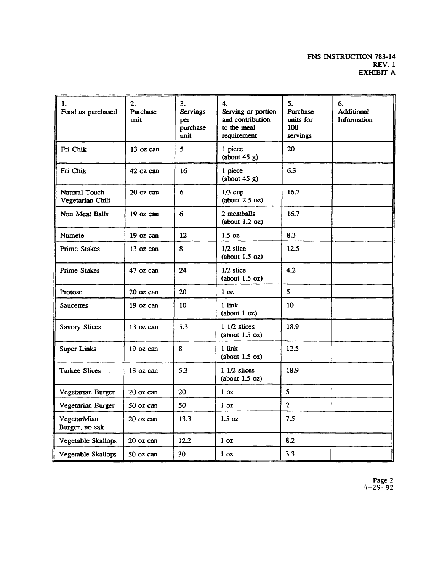| 1.<br>Food as purchased           | 2.<br>Purchase<br>unit | 3.<br><b>Servings</b><br>per<br>purchase<br>unit | 4.<br>Serving or portion<br>and contribution<br>to the meal<br>requirement | 5.<br>Purchase<br>units for<br>100<br>servings | 6.<br>Additional<br>Information |
|-----------------------------------|------------------------|--------------------------------------------------|----------------------------------------------------------------------------|------------------------------------------------|---------------------------------|
| Fri Chik                          | 13 oz can              | 5                                                | 1 piece<br>(about 45 g)                                                    | 20                                             |                                 |
| Fri Chik                          | 42 oz can              | 16                                               | 1 piece<br>(about 45 g)                                                    | 6.3                                            |                                 |
| Natural Touch<br>Vegetarian Chili | 20 oz can              | 6                                                | $1/3$ cup<br>(about 2.5 oz)                                                | 16.7                                           |                                 |
| Non Meat Balls                    | $19$ oz can            | 6                                                | 2 meatballs<br>(about 1.2 oz)                                              | 16.7                                           |                                 |
| Numete                            | 19 oz can              | 12                                               | 1.5 oz                                                                     | 8.3                                            |                                 |
| <b>Prime Stakes</b>               | 13 oz can              | 8                                                | $1/2$ slice<br>(about 1.5 oz)                                              | 12.5                                           |                                 |
| <b>Prime Stakes</b>               | 47 oz can              | 24                                               | $1/2$ slice<br>(about 1.5 oz)                                              | 4.2                                            |                                 |
| Protose                           | 20 oz can              | 20                                               | 1 <sub>oz</sub>                                                            | 5                                              |                                 |
| Saucettes                         | 19 oz can              | 10                                               | 1 link<br>(about 1 oz)                                                     | 10                                             |                                 |
| Savory Slices                     | 13 oz can              | 5.3                                              | $11/2$ slices<br>(about 1.5 oz)                                            | 18.9                                           |                                 |
| Super Links                       | 19 oz can              | 8                                                | 1 link<br>(about 1.5 oz)                                                   | 12.5                                           |                                 |
| <b>Turkee Slices</b>              | 13 oz can              | 5.3                                              | $11/2$ slices<br>(about 1.5 oz)                                            | 18.9                                           |                                 |
| Vegetarian Burger                 | 20 oz can              | 20                                               | 1 <sub>oz</sub>                                                            | 5                                              |                                 |
| Vegetarian Burger                 | 50 oz can              | 50                                               | 1 <sub>oz</sub>                                                            | $\overline{2}$                                 |                                 |
| VegetarMian<br>Burger, no salt    | 20 oz can              | 13.3                                             | 1.5 oz                                                                     | 7.5                                            |                                 |
| Vegetable Skallops                | 20 oz can              | 12.2                                             | 1 <sub>oz</sub>                                                            | 8.2                                            |                                 |
| Vegetable Skallops                | 50 oz can              | 30                                               | 1 <sub>oz</sub>                                                            | 3.3                                            |                                 |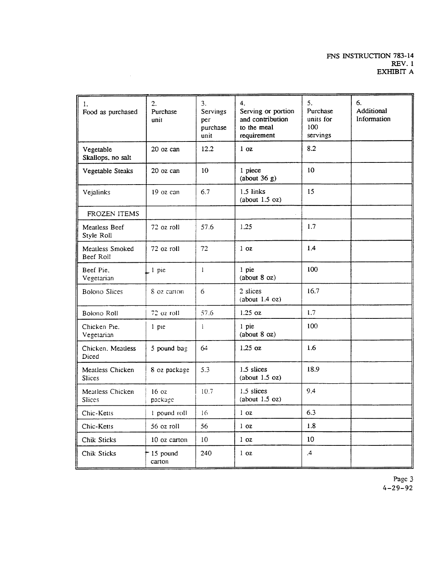| 1.<br>Food as purchased           | $\overline{2}$ .<br>Purchase<br>unit | 3.<br>Servings<br>per<br>purchase<br>unit | 4.<br>Serving or portion<br>and contribution<br>to the meal<br>requirement | 5.<br>Purchase<br>units for<br>100<br>servings | 6.<br>Additional<br>Information |
|-----------------------------------|--------------------------------------|-------------------------------------------|----------------------------------------------------------------------------|------------------------------------------------|---------------------------------|
| Vegetable<br>Skallops, no salt    | $20$ oz can                          | 12.2                                      | 1 <sub>oz</sub>                                                            | 8.2                                            |                                 |
| Vegetable Steaks                  | 20 oz can                            | 10                                        | 1 piece<br>(about 36 g)                                                    | 10                                             |                                 |
| Vejalinks                         | 19 oz can                            | 6.7                                       | $1.5$ links<br>(about 1.5 oz)                                              | 15                                             |                                 |
| FROZEN ITEMS                      |                                      |                                           |                                                                            |                                                |                                 |
| Meatless Beef<br>Style Roll       | 72 oz roll                           | 57.6                                      | 1.25                                                                       | 1.7                                            |                                 |
| Meatless Smoked<br>Beef Roll      | 72 oz roll                           | 72                                        | 1 <sub>oz</sub>                                                            | 1.4                                            |                                 |
| Beef Pie.<br>Vegetarian           | $1$ pie                              | $\mathbf{1}$                              | 1 pie<br>(about 8 oz)                                                      | 100                                            |                                 |
| <b>Bolono Slices</b>              | 8 oz carton                          | 6                                         | 2 slices<br>(about 1.4 oz)                                                 | 16.7                                           |                                 |
| Bolono Roll                       | 72 oz roll                           | 57.6                                      | $1.25$ oz                                                                  | 1.7                                            |                                 |
| Chicken Pie.<br>Vegetarian        | 1 pie                                | $\mathbf{I}$                              | 1 pie<br>(about 8 oz)                                                      | 100                                            |                                 |
| Chicken, Meatless<br>Diced        | 5 pound bag                          | 64                                        | $1.25$ oz                                                                  | 1.6                                            |                                 |
| Meatless Chicken<br><b>Slices</b> | 8 oz package                         | 5.3                                       | 1.5 slices<br>(about 1.5 oz)                                               | 18.9                                           |                                 |
| Meatless Chicken<br><b>Slices</b> | 16 <sub>oz</sub><br>package          | 10.7                                      | $1.5$ slices<br>(about 1.5 oz)                                             | 9.4                                            |                                 |
| Chic-Ketts                        | 1 pound roll                         | 16                                        | 1 <sub>oz</sub>                                                            | 6.3                                            |                                 |
| Chic-Ketts                        | 56 oz roll                           | 56                                        | 1 <sub>oz</sub>                                                            | 1.8                                            |                                 |
| Chik Sticks                       | 10 oz carton                         | 10                                        | 1 <sub>oz</sub>                                                            | 10                                             |                                 |
| Chik Sticks                       | 15 pound<br>carton                   | 240                                       | 1 <sub>oz</sub>                                                            | $\cdot$ 4                                      |                                 |

 $\sim$   $\sim$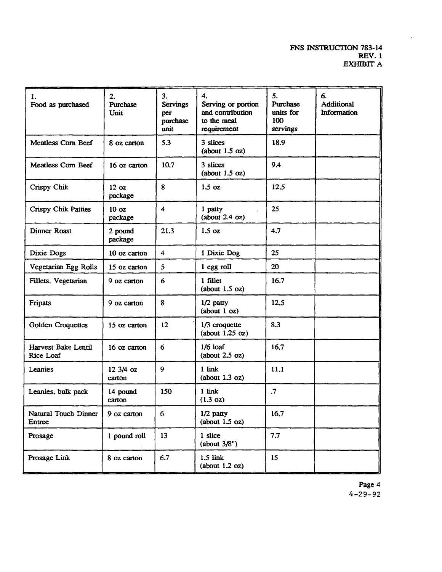#### FNS INSTRUCTION 783-14 **REV. 1** EXHIBIT A

| 1.<br>Food as purchased          | 2.<br>Purchase<br>Unit      | 3.<br><b>Servings</b><br>per<br>purchase<br>unit | 4.<br>Serving or portion<br>and contribution<br>to the meal<br>requirement | 5.<br>Purchase<br>units for<br>100<br>servings | 6.<br><b>Additional</b><br>Information |
|----------------------------------|-----------------------------|--------------------------------------------------|----------------------------------------------------------------------------|------------------------------------------------|----------------------------------------|
| Meatless Corn Beef               | 8 oz carton                 | 5.3                                              | 3 slices<br>(about 1.5 oz)                                                 |                                                |                                        |
| Meatless Corn Beef               | 16 oz carton                | 10.7                                             | 3 slices<br>(about 1.5 oz)                                                 | 9.4                                            |                                        |
| Crispy Chik                      | 12 <sub>oz</sub><br>package | 8                                                | $1.5$ oz                                                                   | 12.5                                           |                                        |
| Crispy Chik Patties              | 10 <sub>oz</sub><br>package | 4                                                | 1 patty<br>(about 2.4 oz)                                                  | 25                                             |                                        |
| <b>Dinner Roast</b>              | 2 pound<br>package          | 21.3                                             | $1.5 \text{ oz}$                                                           | 4.7                                            |                                        |
| Dixie Dogs                       | 10 oz carton                | 4                                                | 1 Dixie Dog                                                                | 25                                             |                                        |
| Vegetarian Egg Rolls             | 15 oz carton                | 5                                                | 1 egg roll                                                                 | 20                                             |                                        |
| Fillets, Vegetarian              | 9 oz carton                 | 6                                                | 1 fillet<br>(about 1.5 oz)                                                 | 16.7                                           |                                        |
| Fripats                          | 9 oz carton                 | 8                                                | $1/2$ patty<br>(about 1 oz)                                                | 12.5                                           |                                        |
| <b>Golden Croquettes</b>         | 15 oz carton                | 12                                               | $1/3$ croquette<br>(about $1.25$ oz)                                       | 8.3                                            |                                        |
| Harvest Bake Lentil<br>Rice Loaf | 16 oz carton                | 6                                                | $1/6$ loaf<br>(about 2.5 oz)                                               | 16.7                                           |                                        |
| Leanies                          | 12 3/4 oz<br>carton         | 9                                                | 1 link<br>(about 1.3 oz)                                                   | 11.1                                           |                                        |
| Leanies, bulk pack               | 14 pound<br>carton          | 150                                              | 1 link<br>$(1.3 \text{ oz})$                                               | $\cdot$                                        |                                        |
| Natural Touch Dinner<br>Entree   | 9 oz carton                 | 6                                                | $1/2$ patty<br>(about 1.5 oz)                                              | 16.7                                           |                                        |
| Prosage                          | 1 pound roll                | 13                                               | 1 slice<br>(about 3/8")                                                    | 7.7                                            |                                        |
| Prosage Link                     | 8 oz carton                 | 6.7                                              | $1.5$ link<br>(about 1.2 oz)                                               | 15                                             |                                        |

Page 4  $4 - 29 - 92$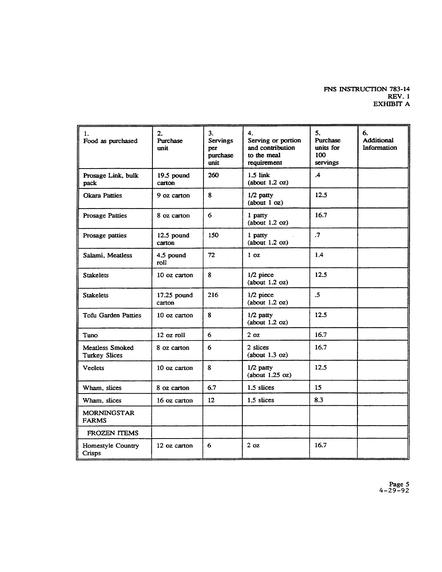# FNS INSTRUCTION 783-14 REV. 1<br>EXHIBIT A

| 1.<br>Food as purchased                        | 2.<br>Purchase<br>unit | 3.<br><b>Servings</b><br>per<br>purchase<br>unit | 4.<br>Serving or portion<br>and contribution<br>to the meal<br>requirement | 5.<br>Purchase<br>units for<br>100<br>servings | 6.<br>Additional<br>Information |
|------------------------------------------------|------------------------|--------------------------------------------------|----------------------------------------------------------------------------|------------------------------------------------|---------------------------------|
| Prosage Link, bulk<br>pack                     | $19.5$ pound<br>carton | 260                                              | $1.5$ link<br>(about 1.2 oz)                                               | $\mathcal{A}$                                  |                                 |
| <b>Okara Patties</b>                           | 9 oz carton            | 8                                                | $1/2$ patty<br>(about 1 oz)                                                | 12.5                                           |                                 |
| <b>Prosage Patties</b>                         | 8 oz carton            | 6                                                | 1 patty<br>(about 1.2 oz)                                                  | 16.7                                           |                                 |
| Prosage patties                                | $12.5$ pound<br>carton | 150                                              | 1 patty<br>(about 1.2 oz)                                                  | $\mathcal{I}$                                  |                                 |
| Salami, Meatless                               | 4.5 pound<br>roll      | 72                                               | 1 <sub>0z</sub>                                                            | 1.4                                            |                                 |
| <b>Stakelets</b>                               | 10 oz carton           | 8                                                | $1/2$ piece<br>(about 1.2 oz)                                              | 12.5                                           |                                 |
| <b>Stakelets</b>                               | 17.25 pound<br>carton  | 216                                              | $1/2$ piece<br>(about 1.2 oz)                                              | $\cdot$ 5                                      |                                 |
| <b>Tofu Garden Patties</b>                     | 10 oz carton           | 8                                                | $1/2$ patty<br>(about 1.2 oz)                                              | 12.5                                           |                                 |
| Tuno                                           | $12$ oz roll           | 6                                                | 2 <sub>oz</sub>                                                            | 16.7                                           |                                 |
| <b>Meatless Smoked</b><br><b>Turkey Slices</b> | 8 oz carton            | 6                                                | 2 slices<br>(about 1.3 oz)                                                 | 16.7                                           |                                 |
| <b>Veelets</b>                                 | 10 oz carton           | 8                                                | $1/2$ patty<br>(about 1.25 oz)                                             | 12.5                                           |                                 |
| Wham, slices                                   | 8 oz carton            | 6.7                                              | 1.5 slices                                                                 | 15                                             |                                 |
| Wham, slices                                   | 16 oz carton           | 12                                               | 1.5 slices                                                                 | 8.3                                            |                                 |
| <b>MORNINGSTAR</b><br><b>FARMS</b>             |                        |                                                  |                                                                            |                                                |                                 |
| <b>FROZEN ITEMS</b>                            |                        |                                                  |                                                                            |                                                |                                 |
| Homestyle Country<br>Crisps                    | 12 oz carton           | 6                                                | 2 <sub>oz</sub>                                                            | 16.7                                           |                                 |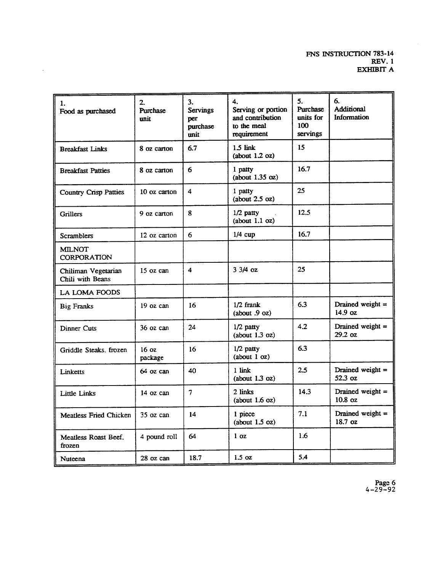| 1.<br>Food as purchased                 | $\overline{2}$ .<br>Purchase<br>unit | 3.<br><b>Servings</b><br>per<br>purchase<br>unit | 4.<br>Serving or portion<br>and contribution<br>to the meal<br>requirement | 5.<br>Purchase<br>units for<br>100<br>servings | 6.<br>Additional<br>Information          |
|-----------------------------------------|--------------------------------------|--------------------------------------------------|----------------------------------------------------------------------------|------------------------------------------------|------------------------------------------|
| <b>Breakfast Links</b>                  | 8 oz carton                          | 6.7                                              | $1.5$ link<br>(about 1.2 oz)                                               | 15                                             |                                          |
| <b>Breakfast Patties</b>                | 8 oz carton                          | 6                                                | 1 patty<br>(about 1.35 oz)                                                 | 16.7                                           |                                          |
| <b>Country Crisp Patties</b>            | 10 oz carton                         | 4                                                | 1 patty<br>(about 2.5 oz)                                                  | 25                                             |                                          |
| Grillers                                | 9 oz carton                          | 8                                                | 1/2 patty<br>(about 1.1 oz)                                                | 12.5                                           |                                          |
| <b>Scramblers</b>                       | 12 oz carton                         | 6                                                | $1/4$ cup                                                                  | 16.7                                           |                                          |
| <b>MILNOT</b><br><b>CORPORATION</b>     |                                      |                                                  |                                                                            |                                                |                                          |
| Chiliman Vegetarian<br>Chili with Beans | 15 oz can                            | $\overline{\mathbf{4}}$                          | $33/4$ oz                                                                  | 25                                             |                                          |
| LA LOMA FOODS                           |                                      |                                                  |                                                                            |                                                |                                          |
| <b>Big Franks</b>                       | 19 oz can                            | 16                                               | $1/2$ frank<br>(about .9 oz)                                               | 6.3                                            | Drained weight $=$<br>$14.9$ oz          |
| Dinner Cuts                             | $36$ oz can                          | 24                                               | $1/2$ patty<br>(about 1.3 oz)                                              | 4.2                                            | Drained weight $=$<br>29.2 oz            |
| Griddle Steaks, frozen                  | 16 <sub>oz</sub><br>package          | 16                                               | $1/2$ patty<br>(about 1 oz)                                                | 6.3                                            |                                          |
| Linketts                                | $64$ oz can                          | 40                                               | 1 link<br>(about 1.3 oz)                                                   | 2.5                                            | Drained weight $=$<br>52.3 oz            |
| Little Links                            | 14 oz can                            | $\overline{7}$                                   | 2 links<br>(about 1.6 oz)                                                  | 14.3                                           | Drained weight $=$<br>10.8 <sub>oz</sub> |
| <b>Meatless Fried Chicken</b>           | $35$ oz can                          | 14                                               | 1 piece<br>(about 1.5 oz)                                                  | 7.1                                            | Drained weight $=$<br>18.7 oz            |
| Meatless Roast Beef.<br>frozen          | 4 pound roll                         | 64                                               | 1 <sub>oz</sub>                                                            | 1.6                                            |                                          |
| Nuteena                                 | 28 oz can                            | 18.7                                             | $1.5 \text{ oz}$                                                           | 5.4                                            |                                          |

 $\sim$   $\sim$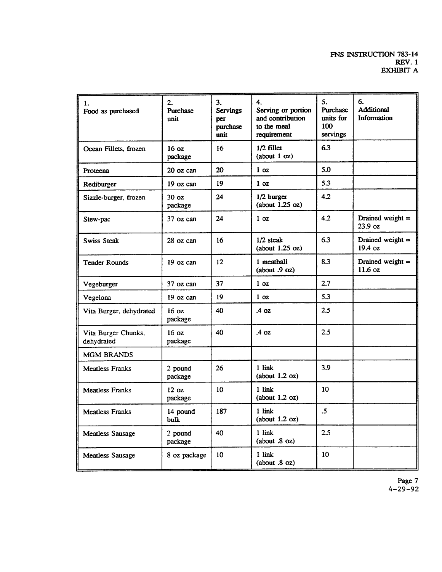| 1.<br>Food as purchased           | 2.<br>Purchase<br>unit      | 3.<br><b>Servings</b><br>per<br>purchase<br>unit | 4.<br>Serving or portion<br>and contribution<br>to the meal<br>requirement | 5.<br><b>Purchase</b><br>units for<br>100<br>servings | 6.<br><b>Additional</b><br>Information |
|-----------------------------------|-----------------------------|--------------------------------------------------|----------------------------------------------------------------------------|-------------------------------------------------------|----------------------------------------|
| Ocean Fillets, frozen             | 16 <sub>oz</sub><br>package | 16                                               | 1/2 fillet<br>(about 1 oz)                                                 | 6.3                                                   |                                        |
| Proteena                          | 20 oz can                   | 20                                               | 1 <sub>oz</sub>                                                            | 5.0                                                   |                                        |
| Rediburger                        | 19 oz can                   | 19                                               | 1 <sub>oz</sub>                                                            | 5.3                                                   |                                        |
| Sizzle-burger, frozen             | 30 <sub>oz</sub><br>package | 24                                               | 1/2 burger<br>(about $1.25$ oz)                                            | 4.2                                                   |                                        |
| Stew-pac                          | 37 oz can                   | 24                                               | 1 <sub>oz</sub>                                                            | 4.2                                                   | Drained weight $=$<br>23.9 oz          |
| Swiss Steak                       | $28$ oz can                 | 16                                               | 1/2 steak<br>(about $1.25$ oz)                                             | 6.3                                                   | Drained weight $=$<br>19.4 oz          |
| <b>Tender Rounds</b>              | $19$ oz can                 | 12                                               | 1 meatball<br>(about $.9$ oz)                                              | 8.3                                                   | Drained weight =<br>11.6 oz            |
| Vegeburger                        | 37 oz can                   | 37                                               | 1 <sub>oz</sub>                                                            | 2.7                                                   |                                        |
| Vegelona                          | 19 oz can                   | 19                                               | 1 <sub>oz</sub>                                                            | 5.3                                                   |                                        |
| Vita Burger, dehydrated           | 16 <sub>oz</sub><br>package | 40                                               | $.4 \Omega$                                                                | 2.5                                                   |                                        |
| Vita Burger Chunks.<br>dehydrated | 16 <sub>oz</sub><br>package | 40                                               | $.4 \text{ oz}$                                                            | 2.5                                                   |                                        |
| <b>MGM BRANDS</b>                 |                             |                                                  |                                                                            |                                                       |                                        |
| <b>Meatless Franks</b>            | 2 pound<br>package          | 26                                               | 1 link<br>(about 1.2 oz)                                                   | 3.9                                                   |                                        |
| <b>Meatless Franks</b>            | 12 oz<br>package            | 10                                               | 1 link<br>(about 1.2 oz)                                                   | 10                                                    |                                        |
| <b>Meatless Franks</b>            | 14 pound<br>bulk            | 187                                              | 1 link<br>(about 1.2 oz)                                                   | .5                                                    |                                        |
| Meatless Sausage                  | 2 pound<br>package          | 40                                               | 1 link<br>(about .8 oz)                                                    | 2.5                                                   |                                        |
| <b>Meatless Sausage</b>           | 8 oz package                | 10                                               | 1 link<br>(about .8 oz)                                                    | 10                                                    |                                        |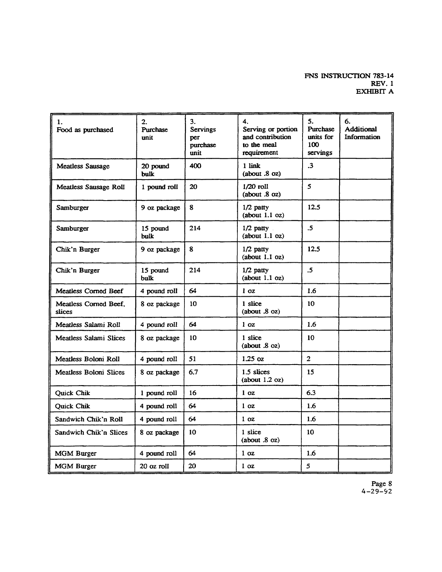#### FNS INSTRUCTION 783-14 **REV. 1**  $EXHIBIT$   ${\bf A}$

| 1.<br>Food as purchased         | 2.<br>Purchase<br>unit  | 3.<br><b>Servings</b><br>per<br>purchase<br>unit | 4.<br>Serving or portion<br>and contribution<br>to the meal<br>requirement | 5.<br>Purchase<br>units for<br>100<br>servings | 6.<br><b>Additional</b><br>Information |
|---------------------------------|-------------------------|--------------------------------------------------|----------------------------------------------------------------------------|------------------------------------------------|----------------------------------------|
| <b>Meatless Sausage</b>         | 20 pound<br>bulk        | 400                                              | 1 link<br>(about .8 oz)                                                    | $\cdot$ 3                                      |                                        |
| Meatless Sausage Roll           | 1 pound roll            | 20                                               | $1/20$ roll<br>(about .8 oz)                                               | 5                                              |                                        |
| Samburger                       | 9 oz package            | 8                                                | $1/2$ patty<br>(about 1.1 oz)                                              | 12.5                                           |                                        |
| Samburger                       | 15 pound<br><b>bulk</b> | 214                                              | $1/2$ patty<br>(about 1.1 oz)                                              | $\cdot$ 5                                      |                                        |
| Chik'n Burger                   | 9 oz package            | 8                                                | $1/2$ patty<br>(about 1.1 oz)                                              | 12.5                                           |                                        |
| Chik'n Burger                   | 15 pound<br>bulk        | 214                                              | $1/2$ patty<br>(about 1.1 oz)                                              | $\cdot$ 5                                      |                                        |
| <b>Meatless Corned Beef</b>     | 4 pound roll            | 64                                               | 1 <sub>oz</sub>                                                            | 1.6                                            |                                        |
| Meatless Corned Beef,<br>slices | 8 oz package            | 10                                               | 1 slice<br>(about .8 oz)                                                   | 10                                             |                                        |
| Meatless Salami Roll            | 4 pound roll            | 64                                               | 1 <sub>oz</sub>                                                            | 1.6                                            |                                        |
| <b>Meatless Salami Slices</b>   | 8 oz package            | 10                                               | 1 slice<br>(about $.8$ oz)                                                 | 10                                             |                                        |
| Meatless Boloni Roll            | 4 pound roll            | 51                                               | $1.25$ oz                                                                  | $\overline{2}$                                 |                                        |
| Meatless Boloni Slices          | 8 oz package            | 6.7                                              | 1.5 slices<br>(about 1.2 oz)                                               | 15                                             |                                        |
| Quick Chik                      | 1 pound roll            | 16                                               | 1 <sub>oz</sub>                                                            | 6.3                                            |                                        |
| Quick Chik                      | 4 pound roll            | 64                                               | 1 <sub>oz</sub>                                                            | 1.6                                            |                                        |
| Sandwich Chik'n Roll            | 4 pound roll            | 64                                               | 1 <sub>oz</sub>                                                            | 1.6                                            |                                        |
| Sandwich Chik'n Slices          | 8 oz package            | 10                                               | 1 slice<br>(about .8 oz)                                                   | 10                                             |                                        |
| <b>MGM Burger</b>               | 4 pound roll            | 64                                               | 1 <sub>oz</sub>                                                            | 1.6                                            |                                        |
| <b>MGM Burger</b>               | 20 oz roll              | 20                                               | 1 <sub>oz</sub>                                                            | 5                                              |                                        |

Page 8<br>4-29-92